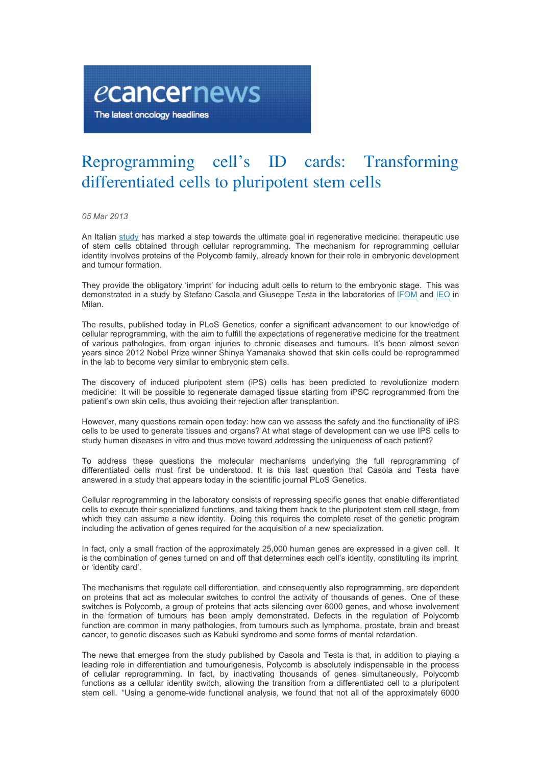## Reprogramming cell's ID cards: Transforming differentiated cells to pluripotent stem cells

*05 Mar 2013*

ecancernews

The latest oncology headlines

An Italian study has marked a step towards the ultimate goal in regenerative medicine: therapeutic use of stem cells obtained through cellular reprogramming. The mechanism for reprogramming cellular identity involves proteins of the Polycomb family, already known for their role in embryonic development and tumour formation.

They provide the obligatory 'imprint' for inducing adult cells to return to the embryonic stage. This was demonstrated in a study by Stefano Casola and Giuseppe Testa in the laboratories of IFOM and IEO in Milan.

The results, published today in PLoS Genetics, confer a significant advancement to our knowledge of cellular reprogramming, with the aim to fulfill the expectations of regenerative medicine for the treatment of various pathologies, from organ injuries to chronic diseases and tumours. It's been almost seven years since 2012 Nobel Prize winner Shinya Yamanaka showed that skin cells could be reprogrammed in the lab to become very similar to embryonic stem cells.

The discovery of induced pluripotent stem (iPS) cells has been predicted to revolutionize modern medicine: It will be possible to regenerate damaged tissue starting from iPSC reprogrammed from the patient's own skin cells, thus avoiding their rejection after transplantion.

However, many questions remain open today: how can we assess the safety and the functionality of iPS cells to be used to generate tissues and organs? At what stage of development can we use IPS cells to study human diseases in vitro and thus move toward addressing the uniqueness of each patient?

To address these questions the molecular mechanisms underlying the full reprogramming of differentiated cells must first be understood. It is this last question that Casola and Testa have answered in a study that appears today in the scientific journal PLoS Genetics.

Cellular reprogramming in the laboratory consists of repressing specific genes that enable differentiated cells to execute their specialized functions, and taking them back to the pluripotent stem cell stage, from which they can assume a new identity. Doing this requires the complete reset of the genetic program including the activation of genes required for the acquisition of a new specialization.

In fact, only a small fraction of the approximately 25,000 human genes are expressed in a given cell. It is the combination of genes turned on and off that determines each cell's identity, constituting its imprint, or 'identity card'.

The mechanisms that regulate cell differentiation, and consequently also reprogramming, are dependent on proteins that act as molecular switches to control the activity of thousands of genes. One of these switches is Polycomb, a group of proteins that acts silencing over 6000 genes, and whose involvement in the formation of tumours has been amply demonstrated. Defects in the regulation of Polycomb function are common in many pathologies, from tumours such as lymphoma, prostate, brain and breast cancer, to genetic diseases such as Kabuki syndrome and some forms of mental retardation.

The news that emerges from the study published by Casola and Testa is that, in addition to playing a leading role in differentiation and tumourigenesis, Polycomb is absolutely indispensable in the process of cellular reprogramming. In fact, by inactivating thousands of genes simultaneously, Polycomb functions as a cellular identity switch, allowing the transition from a differentiated cell to a pluripotent stem cell. "Using a genome-wide functional analysis, we found that not all of the approximately 6000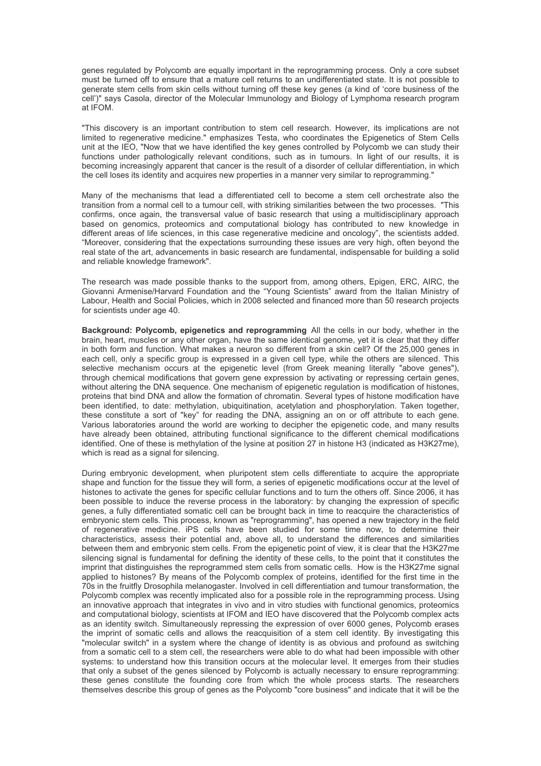genes regulated by Polycomb are equally important in the reprogramming process. Only a core subset must be turned off to ensure that a mature cell returns to an undifferentiated state. It is not possible to generate stem cells from skin cells without turning off these key genes (a kind of 'core business of the cell')" says Casola, director of the Molecular Immunology and Biology of Lymphoma research program at IFOM.

"This discovery is an important contribution to stem cell research. However, its implications are not limited to regenerative medicine." emphasizes Testa, who coordinates the Epigenetics of Stem Cells unit at the IEO, "Now that we have identified the key genes controlled by Polycomb we can study their functions under pathologically relevant conditions, such as in tumours. In light of our results, it is becoming increasingly apparent that cancer is the result of a disorder of cellular differentiation, in which the cell loses its identity and acquires new properties in a manner very similar to reprogramming."

Many of the mechanisms that lead a differentiated cell to become a stem cell orchestrate also the transition from a normal cell to a tumour cell, with striking similarities between the two processes. "This confirms, once again, the transversal value of basic research that using a multidisciplinary approach based on genomics, proteomics and computational biology has contributed to new knowledge in different areas of life sciences, in this case regenerative medicine and oncology", the scientists added. "Moreover, considering that the expectations surrounding these issues are very high, often beyond the real state of the art, advancements in basic research are fundamental, indispensable for building a solid and reliable knowledge framework".

The research was made possible thanks to the support from, among others, Epigen, ERC, AIRC, the Giovanni Armenise/Harvard Foundation and the "Young Scientists" award from the Italian Ministry of Labour, Health and Social Policies, which in 2008 selected and financed more than 50 research projects for scientists under age 40.

**Background: Polycomb, epigenetics and reprogramming** All the cells in our body, whether in the brain, heart, muscles or any other organ, have the same identical genome, yet it is clear that they differ in both form and function. What makes a neuron so different from a skin cell? Of the 25,000 genes in each cell, only a specific group is expressed in a given cell type, while the others are silenced. This selective mechanism occurs at the epigenetic level (from Greek meaning literally "above genes"), through chemical modifications that govern gene expression by activating or repressing certain genes, without altering the DNA sequence. One mechanism of epigenetic regulation is modification of histones, proteins that bind DNA and allow the formation of chromatin. Several types of histone modification have been identified, to date: methylation, ubiquitination, acetylation and phosphorylation. Taken together, these constitute a sort of "key" for reading the DNA, assigning an on or off attribute to each gene. Various laboratories around the world are working to decipher the epigenetic code, and many results have already been obtained, attributing functional significance to the different chemical modifications identified. One of these is methylation of the lysine at position 27 in histone H3 (indicated as H3K27me), which is read as a signal for silencing.

During embryonic development, when pluripotent stem cells differentiate to acquire the appropriate shape and function for the tissue they will form, a series of epigenetic modifications occur at the level of histones to activate the genes for specific cellular functions and to turn the others off. Since 2006, it has been possible to induce the reverse process in the laboratory: by changing the expression of specific genes, a fully differentiated somatic cell can be brought back in time to reacquire the characteristics of embryonic stem cells. This process, known as "reprogramming", has opened a new trajectory in the field of regenerative medicine. iPS cells have been studied for some time now, to determine their characteristics, assess their potential and, above all, to understand the differences and similarities between them and embryonic stem cells. From the epigenetic point of view, it is clear that the H3K27me silencing signal is fundamental for defining the identity of these cells, to the point that it constitutes the imprint that distinguishes the reprogrammed stem cells from somatic cells. How is the H3K27me signal applied to histones? By means of the Polycomb complex of proteins, identified for the first time in the 70s in the fruitfly Drosophila melanogaster. Involved in cell differentiation and tumour transformation, the Polycomb complex was recently implicated also for a possible role in the reprogramming process. Using an innovative approach that integrates in vivo and in vitro studies with functional genomics, proteomics and computational biology, scientists at IFOM and IEO have discovered that the Polycomb complex acts as an identity switch. Simultaneously repressing the expression of over 6000 genes, Polycomb erases the imprint of somatic cells and allows the reacquisition of a stem cell identity. By investigating this "molecular switch" in a system where the change of identity is as obvious and profound as switching from a somatic cell to a stem cell, the researchers were able to do what had been impossible with other systems: to understand how this transition occurs at the molecular level. It emerges from their studies that only a subset of the genes silenced by Polycomb is actually necessary to ensure reprogramming: these genes constitute the founding core from which the whole process starts. The researchers themselves describe this group of genes as the Polycomb "core business" and indicate that it will be the